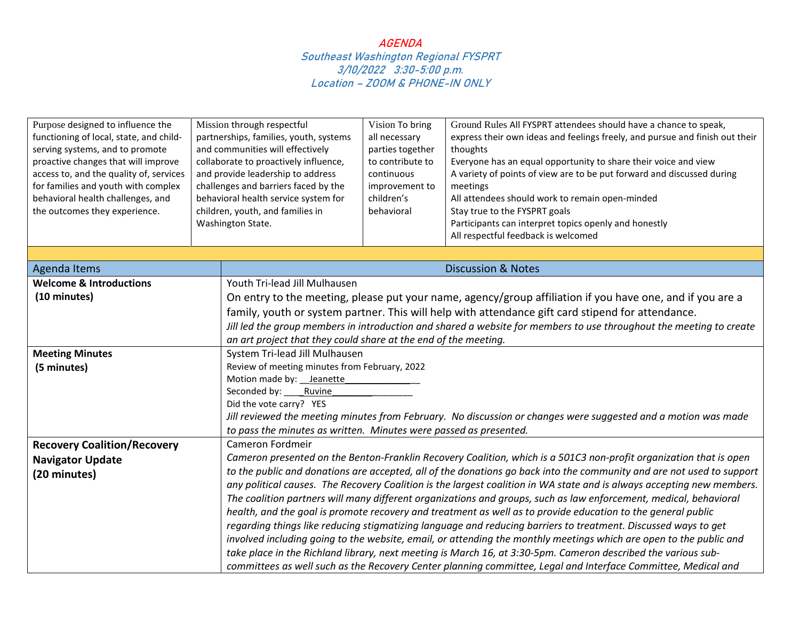| Purpose designed to influence the<br>functioning of local, state, and child-<br>serving systems, and to promote<br>proactive changes that will improve<br>access to, and the quality of, services<br>for families and youth with complex<br>behavioral health challenges, and<br>the outcomes they experience. | Mission through respectful<br>partnerships, families, youth, systems<br>and communities will effectively<br>collaborate to proactively influence,<br>and provide leadership to address<br>challenges and barriers faced by the<br>behavioral health service system for<br>children, youth, and families in<br>Washington State. |                                                                                                                       | Vision To bring<br>all necessary<br>parties together<br>to contribute to<br>continuous<br>improvement to<br>children's<br>behavioral | Ground Rules All FYSPRT attendees should have a chance to speak,<br>express their own ideas and feelings freely, and pursue and finish out their<br>thoughts<br>Everyone has an equal opportunity to share their voice and view<br>A variety of points of view are to be put forward and discussed during<br>meetings<br>All attendees should work to remain open-minded<br>Stay true to the FYSPRT goals<br>Participants can interpret topics openly and honestly<br>All respectful feedback is welcomed |  |
|----------------------------------------------------------------------------------------------------------------------------------------------------------------------------------------------------------------------------------------------------------------------------------------------------------------|---------------------------------------------------------------------------------------------------------------------------------------------------------------------------------------------------------------------------------------------------------------------------------------------------------------------------------|-----------------------------------------------------------------------------------------------------------------------|--------------------------------------------------------------------------------------------------------------------------------------|-----------------------------------------------------------------------------------------------------------------------------------------------------------------------------------------------------------------------------------------------------------------------------------------------------------------------------------------------------------------------------------------------------------------------------------------------------------------------------------------------------------|--|
| <b>Agenda Items</b>                                                                                                                                                                                                                                                                                            |                                                                                                                                                                                                                                                                                                                                 |                                                                                                                       |                                                                                                                                      | <b>Discussion &amp; Notes</b>                                                                                                                                                                                                                                                                                                                                                                                                                                                                             |  |
| <b>Welcome &amp; Introductions</b>                                                                                                                                                                                                                                                                             |                                                                                                                                                                                                                                                                                                                                 | Youth Tri-lead Jill Mulhausen                                                                                         |                                                                                                                                      |                                                                                                                                                                                                                                                                                                                                                                                                                                                                                                           |  |
| (10 minutes)                                                                                                                                                                                                                                                                                                   |                                                                                                                                                                                                                                                                                                                                 |                                                                                                                       |                                                                                                                                      | On entry to the meeting, please put your name, agency/group affiliation if you have one, and if you are a                                                                                                                                                                                                                                                                                                                                                                                                 |  |
|                                                                                                                                                                                                                                                                                                                |                                                                                                                                                                                                                                                                                                                                 |                                                                                                                       |                                                                                                                                      | family, youth or system partner. This will help with attendance gift card stipend for attendance.                                                                                                                                                                                                                                                                                                                                                                                                         |  |
|                                                                                                                                                                                                                                                                                                                |                                                                                                                                                                                                                                                                                                                                 |                                                                                                                       |                                                                                                                                      | Jill led the group members in introduction and shared a website for members to use throughout the meeting to create                                                                                                                                                                                                                                                                                                                                                                                       |  |
|                                                                                                                                                                                                                                                                                                                |                                                                                                                                                                                                                                                                                                                                 | an art project that they could share at the end of the meeting.                                                       |                                                                                                                                      |                                                                                                                                                                                                                                                                                                                                                                                                                                                                                                           |  |
| <b>Meeting Minutes</b>                                                                                                                                                                                                                                                                                         |                                                                                                                                                                                                                                                                                                                                 | System Tri-lead Jill Mulhausen                                                                                        |                                                                                                                                      |                                                                                                                                                                                                                                                                                                                                                                                                                                                                                                           |  |
| (5 minutes)                                                                                                                                                                                                                                                                                                    |                                                                                                                                                                                                                                                                                                                                 | Review of meeting minutes from February, 2022                                                                         |                                                                                                                                      |                                                                                                                                                                                                                                                                                                                                                                                                                                                                                                           |  |
|                                                                                                                                                                                                                                                                                                                |                                                                                                                                                                                                                                                                                                                                 | Motion made by: __ Jeanette                                                                                           |                                                                                                                                      |                                                                                                                                                                                                                                                                                                                                                                                                                                                                                                           |  |
|                                                                                                                                                                                                                                                                                                                |                                                                                                                                                                                                                                                                                                                                 | Seconded by: _____ Ruvine                                                                                             |                                                                                                                                      |                                                                                                                                                                                                                                                                                                                                                                                                                                                                                                           |  |
|                                                                                                                                                                                                                                                                                                                |                                                                                                                                                                                                                                                                                                                                 | Did the vote carry? YES                                                                                               |                                                                                                                                      |                                                                                                                                                                                                                                                                                                                                                                                                                                                                                                           |  |
|                                                                                                                                                                                                                                                                                                                |                                                                                                                                                                                                                                                                                                                                 | Jill reviewed the meeting minutes from February. No discussion or changes were suggested and a motion was made        |                                                                                                                                      |                                                                                                                                                                                                                                                                                                                                                                                                                                                                                                           |  |
|                                                                                                                                                                                                                                                                                                                |                                                                                                                                                                                                                                                                                                                                 | to pass the minutes as written. Minutes were passed as presented.                                                     |                                                                                                                                      |                                                                                                                                                                                                                                                                                                                                                                                                                                                                                                           |  |
| <b>Recovery Coalition/Recovery</b>                                                                                                                                                                                                                                                                             |                                                                                                                                                                                                                                                                                                                                 | Cameron Fordmeir                                                                                                      |                                                                                                                                      |                                                                                                                                                                                                                                                                                                                                                                                                                                                                                                           |  |
| <b>Navigator Update</b>                                                                                                                                                                                                                                                                                        |                                                                                                                                                                                                                                                                                                                                 | Cameron presented on the Benton-Franklin Recovery Coalition, which is a 501C3 non-profit organization that is open    |                                                                                                                                      |                                                                                                                                                                                                                                                                                                                                                                                                                                                                                                           |  |
| (20 minutes)                                                                                                                                                                                                                                                                                                   |                                                                                                                                                                                                                                                                                                                                 | to the public and donations are accepted, all of the donations go back into the community and are not used to support |                                                                                                                                      |                                                                                                                                                                                                                                                                                                                                                                                                                                                                                                           |  |
|                                                                                                                                                                                                                                                                                                                |                                                                                                                                                                                                                                                                                                                                 |                                                                                                                       |                                                                                                                                      | any political causes. The Recovery Coalition is the largest coalition in WA state and is always accepting new members.                                                                                                                                                                                                                                                                                                                                                                                    |  |
|                                                                                                                                                                                                                                                                                                                |                                                                                                                                                                                                                                                                                                                                 |                                                                                                                       |                                                                                                                                      | The coalition partners will many different organizations and groups, such as law enforcement, medical, behavioral                                                                                                                                                                                                                                                                                                                                                                                         |  |
|                                                                                                                                                                                                                                                                                                                |                                                                                                                                                                                                                                                                                                                                 |                                                                                                                       |                                                                                                                                      | health, and the goal is promote recovery and treatment as well as to provide education to the general public                                                                                                                                                                                                                                                                                                                                                                                              |  |
|                                                                                                                                                                                                                                                                                                                |                                                                                                                                                                                                                                                                                                                                 |                                                                                                                       |                                                                                                                                      | regarding things like reducing stigmatizing language and reducing barriers to treatment. Discussed ways to get                                                                                                                                                                                                                                                                                                                                                                                            |  |
|                                                                                                                                                                                                                                                                                                                |                                                                                                                                                                                                                                                                                                                                 |                                                                                                                       |                                                                                                                                      | involved including going to the website, email, or attending the monthly meetings which are open to the public and                                                                                                                                                                                                                                                                                                                                                                                        |  |
|                                                                                                                                                                                                                                                                                                                |                                                                                                                                                                                                                                                                                                                                 |                                                                                                                       |                                                                                                                                      | take place in the Richland library, next meeting is March 16, at 3:30-5pm. Cameron described the various sub-                                                                                                                                                                                                                                                                                                                                                                                             |  |
|                                                                                                                                                                                                                                                                                                                |                                                                                                                                                                                                                                                                                                                                 |                                                                                                                       |                                                                                                                                      | committees as well such as the Recovery Center planning committee, Legal and Interface Committee, Medical and                                                                                                                                                                                                                                                                                                                                                                                             |  |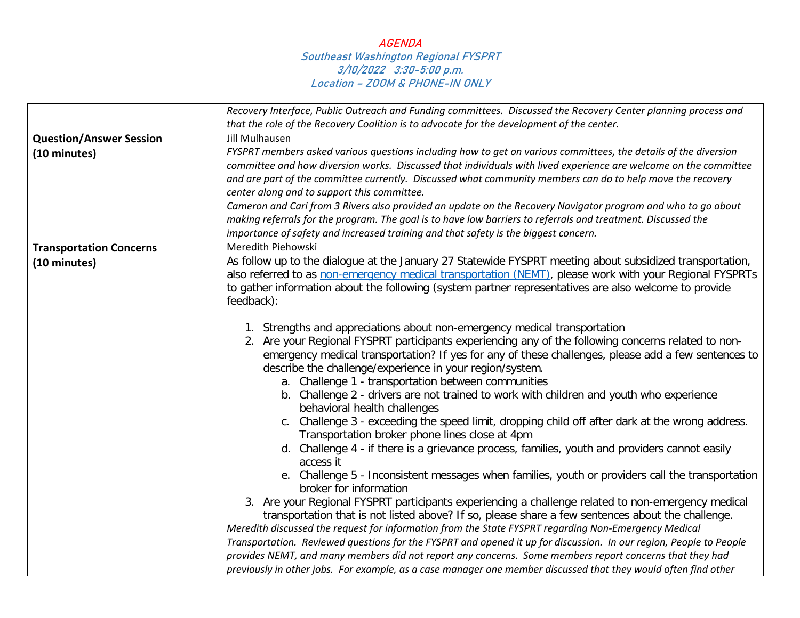|                                | Recovery Interface, Public Outreach and Funding committees. Discussed the Recovery Center planning process and                                                                                                                                                                                                                                                                                                                                                                                                                                                                                                                                                                                                                                                                                                                                                                                                                                                                                                                                                                                                                                                                                                                                                                                                                                                                                                                                                                                                                                                                                               |  |  |
|--------------------------------|--------------------------------------------------------------------------------------------------------------------------------------------------------------------------------------------------------------------------------------------------------------------------------------------------------------------------------------------------------------------------------------------------------------------------------------------------------------------------------------------------------------------------------------------------------------------------------------------------------------------------------------------------------------------------------------------------------------------------------------------------------------------------------------------------------------------------------------------------------------------------------------------------------------------------------------------------------------------------------------------------------------------------------------------------------------------------------------------------------------------------------------------------------------------------------------------------------------------------------------------------------------------------------------------------------------------------------------------------------------------------------------------------------------------------------------------------------------------------------------------------------------------------------------------------------------------------------------------------------------|--|--|
|                                | that the role of the Recovery Coalition is to advocate for the development of the center.                                                                                                                                                                                                                                                                                                                                                                                                                                                                                                                                                                                                                                                                                                                                                                                                                                                                                                                                                                                                                                                                                                                                                                                                                                                                                                                                                                                                                                                                                                                    |  |  |
| <b>Question/Answer Session</b> | <b>Jill Mulhausen</b>                                                                                                                                                                                                                                                                                                                                                                                                                                                                                                                                                                                                                                                                                                                                                                                                                                                                                                                                                                                                                                                                                                                                                                                                                                                                                                                                                                                                                                                                                                                                                                                        |  |  |
| (10 minutes)                   | FYSPRT members asked various questions including how to get on various committees, the details of the diversion<br>committee and how diversion works. Discussed that individuals with lived experience are welcome on the committee<br>and are part of the committee currently. Discussed what community members can do to help move the recovery<br>center along and to support this committee.                                                                                                                                                                                                                                                                                                                                                                                                                                                                                                                                                                                                                                                                                                                                                                                                                                                                                                                                                                                                                                                                                                                                                                                                             |  |  |
|                                | Cameron and Cari from 3 Rivers also provided an update on the Recovery Navigator program and who to go about                                                                                                                                                                                                                                                                                                                                                                                                                                                                                                                                                                                                                                                                                                                                                                                                                                                                                                                                                                                                                                                                                                                                                                                                                                                                                                                                                                                                                                                                                                 |  |  |
|                                | making referrals for the program. The goal is to have low barriers to referrals and treatment. Discussed the                                                                                                                                                                                                                                                                                                                                                                                                                                                                                                                                                                                                                                                                                                                                                                                                                                                                                                                                                                                                                                                                                                                                                                                                                                                                                                                                                                                                                                                                                                 |  |  |
|                                | importance of safety and increased training and that safety is the biggest concern.                                                                                                                                                                                                                                                                                                                                                                                                                                                                                                                                                                                                                                                                                                                                                                                                                                                                                                                                                                                                                                                                                                                                                                                                                                                                                                                                                                                                                                                                                                                          |  |  |
| <b>Transportation Concerns</b> | Meredith Piehowski                                                                                                                                                                                                                                                                                                                                                                                                                                                                                                                                                                                                                                                                                                                                                                                                                                                                                                                                                                                                                                                                                                                                                                                                                                                                                                                                                                                                                                                                                                                                                                                           |  |  |
| (10 minutes)                   | As follow up to the dialogue at the January 27 Statewide FYSPRT meeting about subsidized transportation,<br>also referred to as non-emergency medical transportation (NEMT), please work with your Regional FYSPRTs<br>to gather information about the following (system partner representatives are also welcome to provide<br>feedback):                                                                                                                                                                                                                                                                                                                                                                                                                                                                                                                                                                                                                                                                                                                                                                                                                                                                                                                                                                                                                                                                                                                                                                                                                                                                   |  |  |
|                                | 1. Strengths and appreciations about non-emergency medical transportation<br>2. Are your Regional FYSPRT participants experiencing any of the following concerns related to non-<br>emergency medical transportation? If yes for any of these challenges, please add a few sentences to<br>describe the challenge/experience in your region/system.<br>a. Challenge 1 - transportation between communities<br>b. Challenge 2 - drivers are not trained to work with children and youth who experience<br>behavioral health challenges<br>c. Challenge 3 - exceeding the speed limit, dropping child off after dark at the wrong address.<br>Transportation broker phone lines close at 4pm<br>d. Challenge 4 - if there is a grievance process, families, youth and providers cannot easily<br>access it<br>e. Challenge 5 - Inconsistent messages when families, youth or providers call the transportation<br>broker for information<br>3. Are your Regional FYSPRT participants experiencing a challenge related to non-emergency medical<br>transportation that is not listed above? If so, please share a few sentences about the challenge.<br>Meredith discussed the request for information from the State FYSPRT regarding Non-Emergency Medical<br>Transportation. Reviewed questions for the FYSPRT and opened it up for discussion. In our region, People to People<br>provides NEMT, and many members did not report any concerns. Some members report concerns that they had<br>previously in other jobs. For example, as a case manager one member discussed that they would often find other |  |  |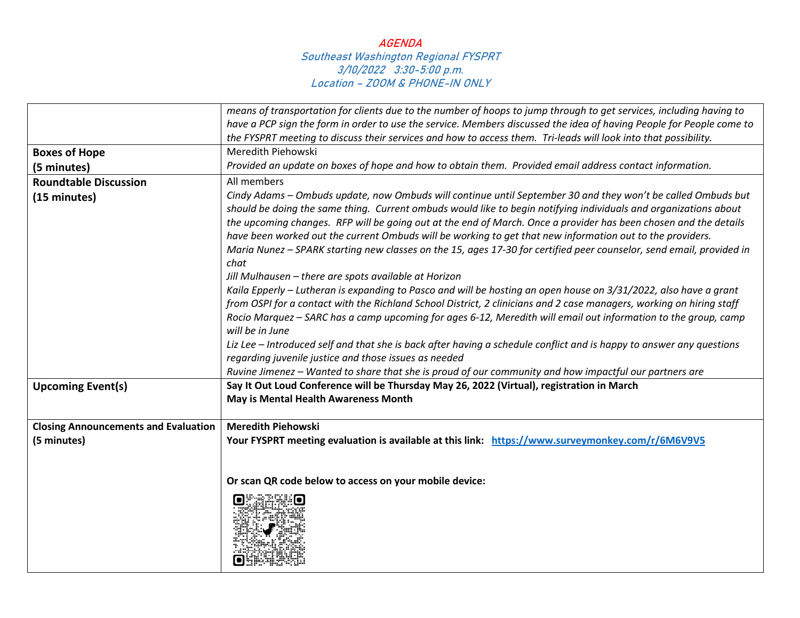|                                             | means of transportation for clients due to the number of hoops to jump through to get services, including having to                                                                                                                                                                                                                                                                                                                                                                                                                                                                                                                                                                                                                                                                                                                                                                                                                                                                                                                                                                                                                                                                                                          |
|---------------------------------------------|------------------------------------------------------------------------------------------------------------------------------------------------------------------------------------------------------------------------------------------------------------------------------------------------------------------------------------------------------------------------------------------------------------------------------------------------------------------------------------------------------------------------------------------------------------------------------------------------------------------------------------------------------------------------------------------------------------------------------------------------------------------------------------------------------------------------------------------------------------------------------------------------------------------------------------------------------------------------------------------------------------------------------------------------------------------------------------------------------------------------------------------------------------------------------------------------------------------------------|
|                                             | have a PCP sign the form in order to use the service. Members discussed the idea of having People for People come to                                                                                                                                                                                                                                                                                                                                                                                                                                                                                                                                                                                                                                                                                                                                                                                                                                                                                                                                                                                                                                                                                                         |
|                                             | the FYSPRT meeting to discuss their services and how to access them. Tri-leads will look into that possibility.                                                                                                                                                                                                                                                                                                                                                                                                                                                                                                                                                                                                                                                                                                                                                                                                                                                                                                                                                                                                                                                                                                              |
| <b>Boxes of Hope</b>                        | Meredith Piehowski                                                                                                                                                                                                                                                                                                                                                                                                                                                                                                                                                                                                                                                                                                                                                                                                                                                                                                                                                                                                                                                                                                                                                                                                           |
| (5 minutes)                                 | Provided an update on boxes of hope and how to obtain them. Provided email address contact information.                                                                                                                                                                                                                                                                                                                                                                                                                                                                                                                                                                                                                                                                                                                                                                                                                                                                                                                                                                                                                                                                                                                      |
| <b>Roundtable Discussion</b>                | All members                                                                                                                                                                                                                                                                                                                                                                                                                                                                                                                                                                                                                                                                                                                                                                                                                                                                                                                                                                                                                                                                                                                                                                                                                  |
| (15 minutes)                                | Cindy Adams - Ombuds update, now Ombuds will continue until September 30 and they won't be called Ombuds but<br>should be doing the same thing. Current ombuds would like to begin notifying individuals and organizations about<br>the upcoming changes. RFP will be going out at the end of March. Once a provider has been chosen and the details<br>have been worked out the current Ombuds will be working to get that new information out to the providers.<br>Maria Nunez - SPARK starting new classes on the 15, ages 17-30 for certified peer counselor, send email, provided in<br>chat<br>Jill Mulhausen - there are spots available at Horizon<br>Kaila Epperly - Lutheran is expanding to Pasco and will be hosting an open house on 3/31/2022, also have a grant<br>from OSPI for a contact with the Richland School District, 2 clinicians and 2 case managers, working on hiring staff<br>Rocio Marquez – SARC has a camp upcoming for ages 6-12, Meredith will email out information to the group, camp<br>will be in June<br>Liz Lee - Introduced self and that she is back after having a schedule conflict and is happy to answer any questions<br>regarding juvenile justice and those issues as needed |
|                                             | Ruvine Jimenez - Wanted to share that she is proud of our community and how impactful our partners are                                                                                                                                                                                                                                                                                                                                                                                                                                                                                                                                                                                                                                                                                                                                                                                                                                                                                                                                                                                                                                                                                                                       |
| <b>Upcoming Event(s)</b>                    | Say It Out Loud Conference will be Thursday May 26, 2022 (Virtual), registration in March<br>May is Mental Health Awareness Month                                                                                                                                                                                                                                                                                                                                                                                                                                                                                                                                                                                                                                                                                                                                                                                                                                                                                                                                                                                                                                                                                            |
| <b>Closing Announcements and Evaluation</b> | <b>Meredith Piehowski</b>                                                                                                                                                                                                                                                                                                                                                                                                                                                                                                                                                                                                                                                                                                                                                                                                                                                                                                                                                                                                                                                                                                                                                                                                    |
| (5 minutes)                                 | Your FYSPRT meeting evaluation is available at this link: https://www.surveymonkey.com/r/6M6V9V5<br>Or scan QR code below to access on your mobile device:                                                                                                                                                                                                                                                                                                                                                                                                                                                                                                                                                                                                                                                                                                                                                                                                                                                                                                                                                                                                                                                                   |
|                                             |                                                                                                                                                                                                                                                                                                                                                                                                                                                                                                                                                                                                                                                                                                                                                                                                                                                                                                                                                                                                                                                                                                                                                                                                                              |